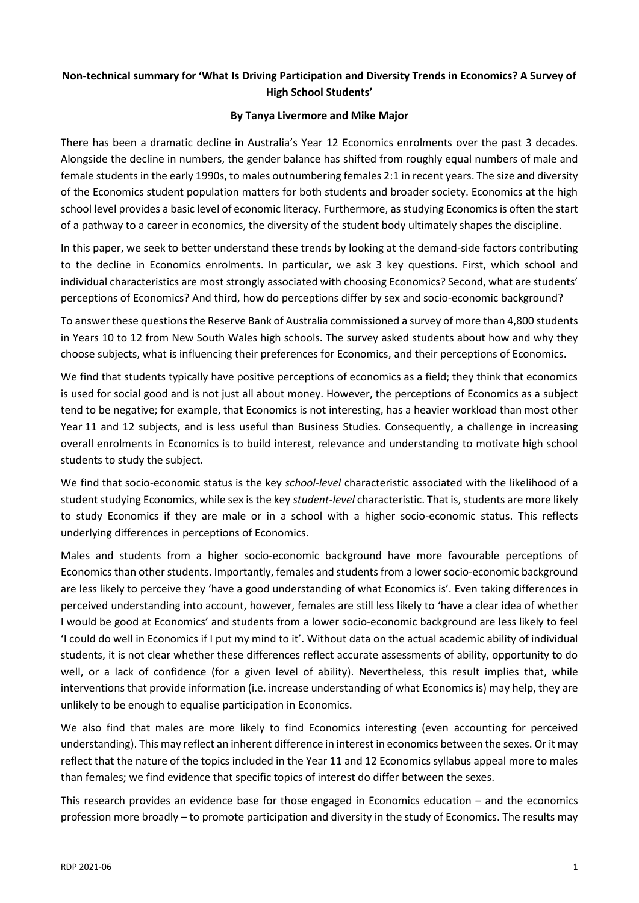## **Non-technical summary for 'What Is Driving Participation and Diversity Trends in Economics? A Survey of High School Students'**

## **By Tanya Livermore and Mike Major**

There has been a dramatic decline in Australia's Year 12 Economics enrolments over the past 3 decades. Alongside the decline in numbers, the gender balance has shifted from roughly equal numbers of male and female students in the early 1990s, to males outnumbering females 2:1 in recent years. The size and diversity of the Economics student population matters for both students and broader society. Economics at the high school level provides a basic level of economic literacy. Furthermore, as studying Economics is often the start of a pathway to a career in economics, the diversity of the student body ultimately shapes the discipline.

In this paper, we seek to better understand these trends by looking at the demand-side factors contributing to the decline in Economics enrolments. In particular, we ask 3 key questions. First, which school and individual characteristics are most strongly associated with choosing Economics? Second, what are students' perceptions of Economics? And third, how do perceptions differ by sex and socio-economic background?

To answer these questions the Reserve Bank of Australia commissioned a survey of more than 4,800 students in Years 10 to 12 from New South Wales high schools. The survey asked students about how and why they choose subjects, what is influencing their preferences for Economics, and their perceptions of Economics.

We find that students typically have positive perceptions of economics as a field; they think that economics is used for social good and is not just all about money. However, the perceptions of Economics as a subject tend to be negative; for example, that Economics is not interesting, has a heavier workload than most other Year 11 and 12 subjects, and is less useful than Business Studies. Consequently, a challenge in increasing overall enrolments in Economics is to build interest, relevance and understanding to motivate high school students to study the subject.

We find that socio-economic status is the key *school-level* characteristic associated with the likelihood of a student studying Economics, while sex is the key *student-level* characteristic. That is, students are more likely to study Economics if they are male or in a school with a higher socio-economic status. This reflects underlying differences in perceptions of Economics.

Males and students from a higher socio-economic background have more favourable perceptions of Economics than other students. Importantly, females and students from a lowersocio-economic background are less likely to perceive they 'have a good understanding of what Economics is'. Even taking differences in perceived understanding into account, however, females are still less likely to 'have a clear idea of whether I would be good at Economics' and students from a lower socio-economic background are less likely to feel 'I could do well in Economics if I put my mind to it'. Without data on the actual academic ability of individual students, it is not clear whether these differences reflect accurate assessments of ability, opportunity to do well, or a lack of confidence (for a given level of ability). Nevertheless, this result implies that, while interventions that provide information (i.e. increase understanding of what Economics is) may help, they are unlikely to be enough to equalise participation in Economics.

We also find that males are more likely to find Economics interesting (even accounting for perceived understanding). This may reflect an inherent difference in interest in economics between the sexes. Or it may reflect that the nature of the topics included in the Year 11 and 12 Economics syllabus appeal more to males than females; we find evidence that specific topics of interest do differ between the sexes.

This research provides an evidence base for those engaged in Economics education – and the economics profession more broadly – to promote participation and diversity in the study of Economics. The results may